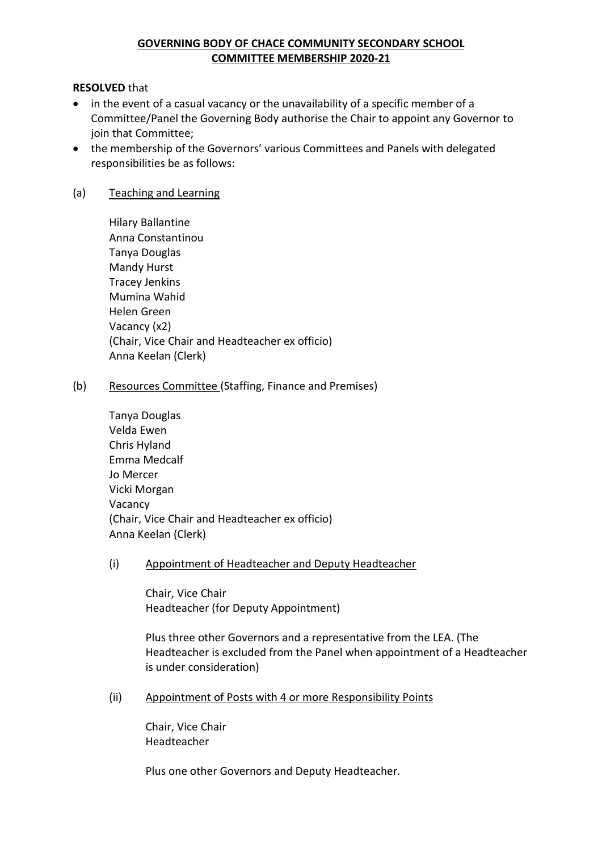# **GOVERNING BODY OF CHACE COMMUNITY SECONDARY SCHOOL COMMITTEE MEMBERSHIP 2020-21**

#### **RESOLVED** that

- in the event of a casual vacancy or the unavailability of a specific member of a Committee/Panel the Governing Body authorise the Chair to appoint any Governor to join that Committee;
- the membership of the Governors' various Committees and Panels with delegated responsibilities be as follows:

### (a) Teaching and Learning

Hilary Ballantine Anna Constantinou Tanya Douglas Mandy Hurst Tracey Jenkins Mumina Wahid Helen Green Vacancy (x2) (Chair, Vice Chair and Headteacher ex officio) Anna Keelan (Clerk)

#### (b) Resources Committee (Staffing, Finance and Premises)

| <b>Tanya Douglas</b>                           |
|------------------------------------------------|
| Velda Ewen                                     |
| Chris Hyland                                   |
| Emma Medcalf                                   |
| Jo Mercer                                      |
| Vicki Morgan                                   |
| Vacancy                                        |
| (Chair, Vice Chair and Headteacher ex officio) |
| Anna Keelan (Clerk)                            |

#### (i) Appointment of Headteacher and Deputy Headteacher

Chair, Vice Chair Headteacher (for Deputy Appointment)

Plus three other Governors and a representative from the LEA. (The Headteacher is excluded from the Panel when appointment of a Headteacher is under consideration)

(ii) Appointment of Posts with 4 or more Responsibility Points

Chair, Vice Chair Headteacher

Plus one other Governors and Deputy Headteacher.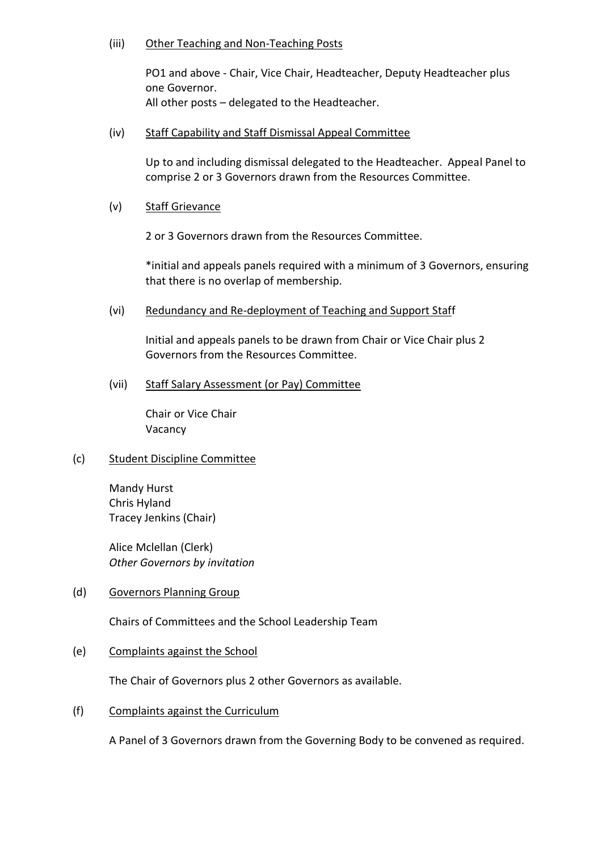#### (iii) Other Teaching and Non-Teaching Posts

PO1 and above - Chair, Vice Chair, Headteacher, Deputy Headteacher plus one Governor. All other posts – delegated to the Headteacher.

(iv) Staff Capability and Staff Dismissal Appeal Committee

Up to and including dismissal delegated to the Headteacher. Appeal Panel to comprise 2 or 3 Governors drawn from the Resources Committee.

(v) Staff Grievance

2 or 3 Governors drawn from the Resources Committee.

\*initial and appeals panels required with a minimum of 3 Governors, ensuring that there is no overlap of membership.

(vi) Redundancy and Re-deployment of Teaching and Support Staff

Initial and appeals panels to be drawn from Chair or Vice Chair plus 2 Governors from the Resources Committee.

(vii) Staff Salary Assessment (or Pay) Committee

Chair or Vice Chair Vacancy

# (c) Student Discipline Committee

Mandy Hurst Chris Hyland Tracey Jenkins (Chair)

Alice Mclellan (Clerk) *Other Governors by invitation*

# (d) Governors Planning Group

Chairs of Committees and the School Leadership Team

# (e) Complaints against the School

The Chair of Governors plus 2 other Governors as available.

(f) Complaints against the Curriculum

A Panel of 3 Governors drawn from the Governing Body to be convened as required.